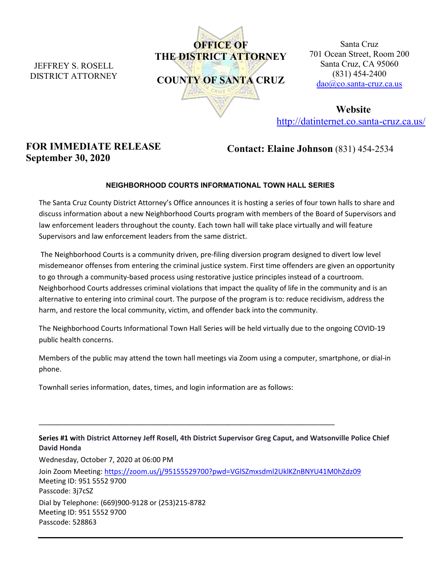JEFFREY S. ROSELL DISTRICT ATTORNEY



Santa Cruz 701 Ocean Street, Room 200 Santa Cruz, CA 95060 (831) 454-2400 [dao@co.santa-cruz.ca.us](mailto:dao@co.santa-cruz.ca.us)

**Website** <http://datinternet.co.santa-cruz.ca.us/>

## **FOR IMMEDIATE RELEASE September 30, 2020**

**Contact: Elaine Johnson** (831) 454-2534

## **NEIGHBORHOOD COURTS INFORMATIONAL TOWN HALL SERIES**

The Santa Cruz County District Attorney's Office announces it is hosting a series of four town halls to share and discuss information about a new Neighborhood Courts program with members of the Board of Supervisors and law enforcement leaders throughout the county. Each town hall will take place virtually and will feature Supervisors and law enforcement leaders from the same district.

The Neighborhood Courts is a community driven, pre-filing diversion program designed to divert low level misdemeanor offenses from entering the criminal justice system. First time offenders are given an opportunity to go through a community-based process using restorative justice principles instead of a courtroom. Neighborhood Courts addresses criminal violations that impact the quality of life in the community and is an alternative to entering into criminal court. The purpose of the program is to: reduce recidivism, address the harm, and restore the local community, victim, and offender back into the community.

The Neighborhood Courts Informational Town Hall Series will be held virtually due to the ongoing COVID-19 public health concerns.

Members of the public may attend the town hall meetings via Zoom using a computer, smartphone, or dial-in phone.

Townhall series information, dates, times, and login information are as follows:

## **Series #1 with District Attorney Jeff Rosell, 4th District Supervisor Greg Caput, and Watsonville Police Chief David Honda**

Wednesday, October 7, 2020 at 06:00 PM Join Zoom Meeting:<https://zoom.us/j/95155529700?pwd=VGlSZmxsdml2UklKZnBNYU41M0hZdz09> Meeting ID: 951 5552 9700 Passcode: 3j7cSZ Dial by Telephone: (669)900-9128 or (253)215-8782 Meeting ID: 951 5552 9700 Passcode: 528863

\_\_\_\_\_\_\_\_\_\_\_\_\_\_\_\_\_\_\_\_\_\_\_\_\_\_\_\_\_\_\_\_\_\_\_\_\_\_\_\_\_\_\_\_\_\_\_\_\_\_\_\_\_\_\_\_\_\_\_\_\_\_\_\_\_\_\_\_\_\_\_\_\_\_\_